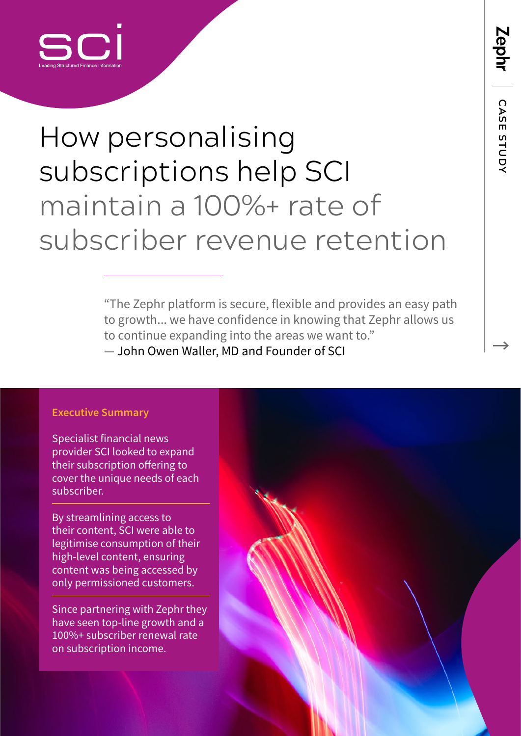

## How personalising subscriptions help SCI maintain a 100%+ rate of subscriber revenue retention

"The Zephr platform is secure, flexible and provides an easy path to growth... we have confidence in knowing that Zephr allows us to continue expanding into the areas we want to." — John Owen Waller, MD and Founder of SCI

#### **Executive Summary**

Specialist financial news provider SCI looked to expand their subscription offering to cover the unique needs of each subscriber.

By streamlining access to their content, SCI were able to legitimise consumption of their high-level content, ensuring content was being accessed by only permissioned customers.

Since partnering with Zephr they have seen top-line growth and a 100%+ subscriber renewal rate on subscription income.



 **CASE STUDY**

CASE STUDY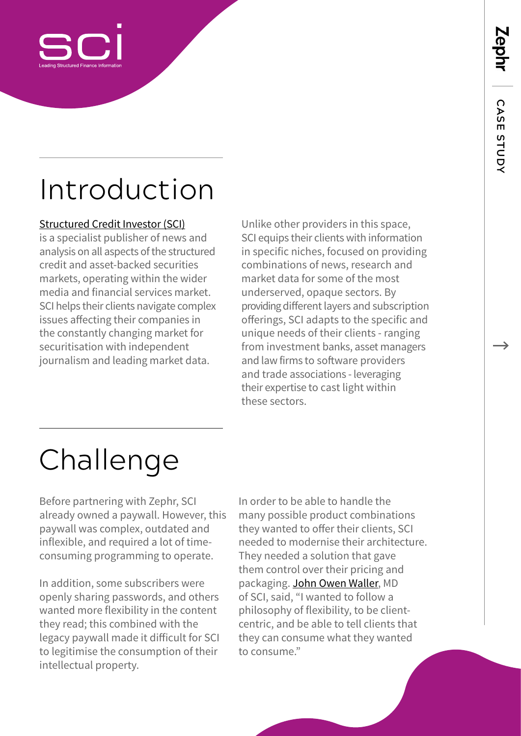

### Introduction

#### [Structured Credit Investor \(SCI\)](https://www.structuredcreditinvestor.com/)

is a specialist publisher of news and analysis on all aspects of the structured credit and asset-backed securities markets, operating within the wider media and financial services market. SCI helps their clients navigate complex issues affecting their companies in the constantly changing market for securitisation with independent journalism and leading market data.

Unlike other providers in this space, SCI equips their clients with information in specific niches, focused on providing combinations of news, research and market data for some of the most underserved, opaque sectors. By providing different layers and subscription offerings, SCI adapts to the specific and unique needs of their clients - ranging from investment banks, asset managers and law firms to software providers and trade associations - leveraging their expertise to cast light within these sectors.

## Challenge

Before partnering with Zephr, SCI already owned a paywall. However, this paywall was complex, outdated and inflexible, and required a lot of timeconsuming programming to operate.

In addition, some subscribers were openly sharing passwords, and others wanted more flexibility in the content they read; this combined with the legacy paywall made it difficult for SCI to legitimise the consumption of their intellectual property.

In order to be able to handle the many possible product combinations they wanted to offer their clients, SCI needed to modernise their architecture. They needed a solution that gave them control over their pricing and packaging. [John Owen Waller](https://www.linkedin.com/in/structuredcreditinvestor/), MD of SCI, said, "I wanted to follow a philosophy of flexibility, to be clientcentric, and be able to tell clients that they can consume what they wanted to consume."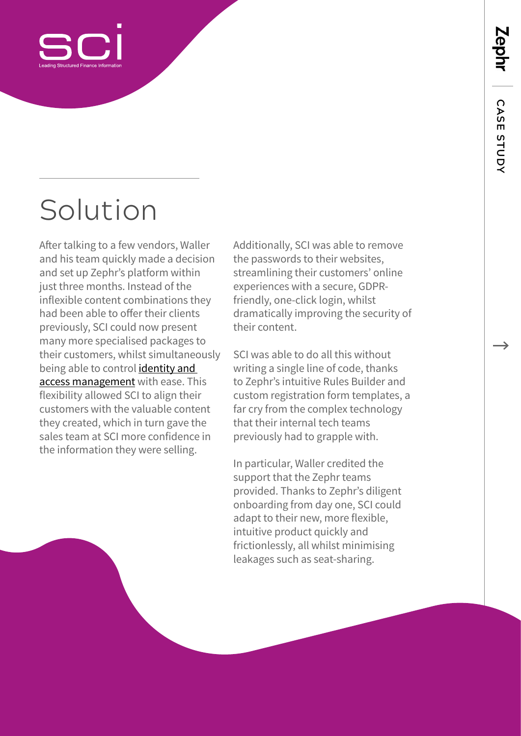

## Solution

After talking to a few vendors, Waller and his team quickly made a decision and set up Zephr's platform within just three months. Instead of the inflexible content combinations they had been able to offer their clients previously, SCI could now present many more specialised packages to their customers, whilst simultaneously being able to control [identity and](https://www.zephr.com/solutions/identity-access-management)  [access management](https://www.zephr.com/solutions/identity-access-management) with ease. This flexibility allowed SCI to align their customers with the valuable content they created, which in turn gave the sales team at SCI more confidence in the information they were selling.

Additionally, SCI was able to remove the passwords to their websites, streamlining their customers' online experiences with a secure, GDPRfriendly, one-click login, whilst dramatically improving the security of their content.

SCI was able to do all this without writing a single line of code, thanks to Zephr's intuitive Rules Builder and custom registration form templates, a far cry from the complex technology that their internal tech teams previously had to grapple with.

In particular, Waller credited the support that the Zephr teams provided. Thanks to Zephr's diligent onboarding from day one, SCI could adapt to their new, more flexible, intuitive product quickly and frictionlessly, all whilst minimising leakages such as seat-sharing.